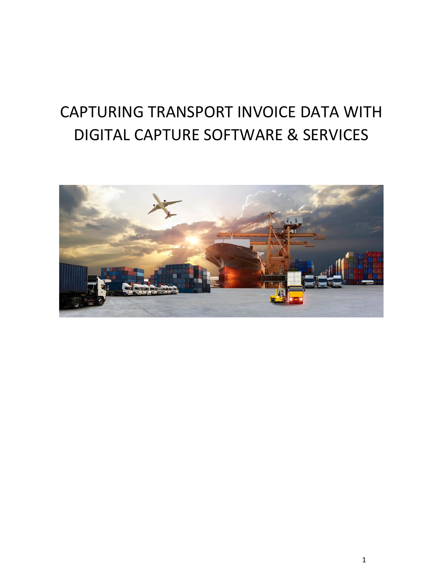## CAPTURING TRANSPORT INVOICE DATA WITH DIGITAL CAPTURE SOFTWARE & SERVICES

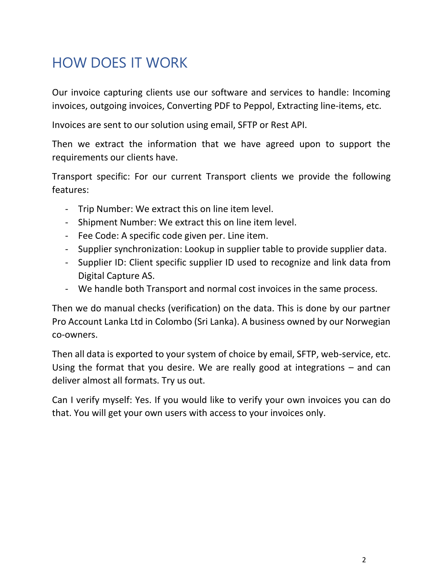## HOW DOES IT WORK

Our invoice capturing clients use our software and services to handle: Incoming invoices, outgoing invoices, Converting PDF to Peppol, Extracting line-items, etc.

Invoices are sent to our solution using email, SFTP or Rest API.

Then we extract the information that we have agreed upon to support the requirements our clients have.

Transport specific: For our current Transport clients we provide the following features:

- Trip Number: We extract this on line item level.
- Shipment Number: We extract this on line item level.
- Fee Code: A specific code given per. Line item.
- Supplier synchronization: Lookup in supplier table to provide supplier data.
- Supplier ID: Client specific supplier ID used to recognize and link data from Digital Capture AS.
- We handle both Transport and normal cost invoices in the same process.

Then we do manual checks (verification) on the data. This is done by our partner Pro Account Lanka Ltd in Colombo (Sri Lanka). A business owned by our Norwegian co-owners.

Then all data is exported to your system of choice by email, SFTP, web-service, etc. Using the format that you desire. We are really good at integrations – and can deliver almost all formats. Try us out.

Can I verify myself: Yes. If you would like to verify your own invoices you can do that. You will get your own users with access to your invoices only.